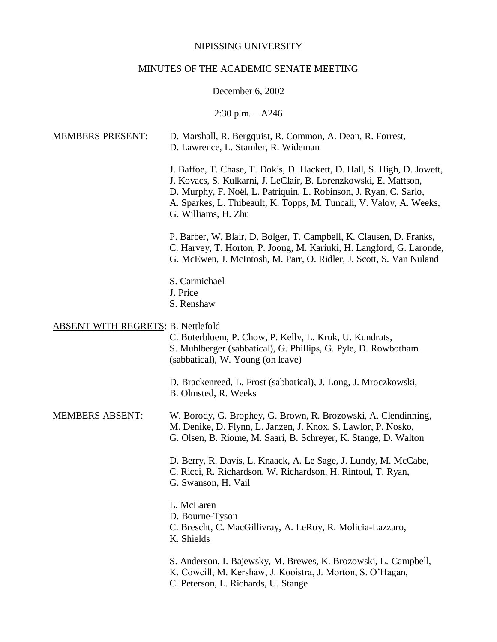### NIPISSING UNIVERSITY

### MINUTES OF THE ACADEMIC SENATE MEETING

### December 6, 2002

 $2:30$  p.m.  $-$  A246

# MEMBERS PRESENT: D. Marshall, R. Bergquist, R. Common, A. Dean, R. Forrest, D. Lawrence, L. Stamler, R. Wideman J. Baffoe, T. Chase, T. Dokis, D. Hackett, D. Hall, S. High, D. Jowett, J. Kovacs, S. Kulkarni, J. LeClair, B. Lorenzkowski, E. Mattson, D. Murphy, F. Noël, L. Patriquin, L. Robinson, J. Ryan, C. Sarlo, A. Sparkes, L. Thibeault, K. Topps, M. Tuncali, V. Valov, A. Weeks, G. Williams, H. Zhu P. Barber, W. Blair, D. Bolger, T. Campbell, K. Clausen, D. Franks, C. Harvey, T. Horton, P. Joong, M. Kariuki, H. Langford, G. Laronde, G. McEwen, J. McIntosh, M. Parr, O. Ridler, J. Scott, S. Van Nuland S. Carmichael J. Price S. Renshaw ABSENT WITH REGRETS: B. Nettlefold C. Boterbloem, P. Chow, P. Kelly, L. Kruk, U. Kundrats, S. Muhlberger (sabbatical), G. Phillips, G. Pyle, D. Rowbotham (sabbatical), W. Young (on leave) D. Brackenreed, L. Frost (sabbatical), J. Long, J. Mroczkowski, B. Olmsted, R. Weeks MEMBERS ABSENT: W. Borody, G. Brophey, G. Brown, R. Brozowski, A. Clendinning, M. Denike, D. Flynn, L. Janzen, J. Knox, S. Lawlor, P. Nosko, G. Olsen, B. Riome, M. Saari, B. Schreyer, K. Stange, D. Walton D. Berry, R. Davis, L. Knaack, A. Le Sage, J. Lundy, M. McCabe, C. Ricci, R. Richardson, W. Richardson, H. Rintoul, T. Ryan, G. Swanson, H. Vail L. McLaren D. Bourne-Tyson C. Brescht, C. MacGillivray, A. LeRoy, R. Molicia-Lazzaro, K. Shields S. Anderson, I. Bajewsky, M. Brewes, K. Brozowski, L. Campbell, K. Cowcill, M. Kershaw, J. Kooistra, J. Morton, S. O'Hagan, C. Peterson, L. Richards, U. Stange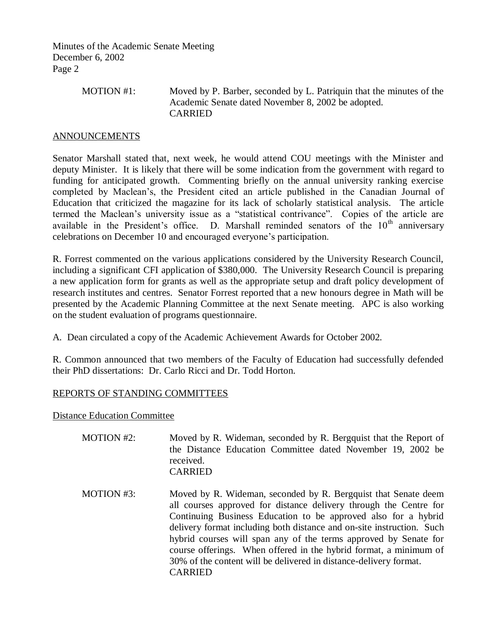> MOTION #1: Moved by P. Barber, seconded by L. Patriquin that the minutes of the Academic Senate dated November 8, 2002 be adopted. CARRIED

## ANNOUNCEMENTS

Senator Marshall stated that, next week, he would attend COU meetings with the Minister and deputy Minister. It is likely that there will be some indication from the government with regard to funding for anticipated growth. Commenting briefly on the annual university ranking exercise completed by Maclean's, the President cited an article published in the Canadian Journal of Education that criticized the magazine for its lack of scholarly statistical analysis. The article termed the Maclean's university issue as a "statistical contrivance". Copies of the article are available in the President's office. D. Marshall reminded senators of the  $10<sup>th</sup>$  anniversary celebrations on December 10 and encouraged everyone's participation.

R. Forrest commented on the various applications considered by the University Research Council, including a significant CFI application of \$380,000. The University Research Council is preparing a new application form for grants as well as the appropriate setup and draft policy development of research institutes and centres. Senator Forrest reported that a new honours degree in Math will be presented by the Academic Planning Committee at the next Senate meeting. APC is also working on the student evaluation of programs questionnaire.

A. Dean circulated a copy of the Academic Achievement Awards for October 2002.

R. Common announced that two members of the Faculty of Education had successfully defended their PhD dissertations: Dr. Carlo Ricci and Dr. Todd Horton.

# REPORTS OF STANDING COMMITTEES

Distance Education Committee

| <b>MOTION #2:</b> | Moved by R. Wideman, seconded by R. Bergquist that the Report of<br>the Distance Education Committee dated November 19, 2002 be<br>received.<br><b>CARRIED</b>                                                                                                                                                                                                                                                                                                                                                 |
|-------------------|----------------------------------------------------------------------------------------------------------------------------------------------------------------------------------------------------------------------------------------------------------------------------------------------------------------------------------------------------------------------------------------------------------------------------------------------------------------------------------------------------------------|
| MOTION #3:        | Moved by R. Wideman, seconded by R. Bergquist that Senate deem<br>all courses approved for distance delivery through the Centre for<br>Continuing Business Education to be approved also for a hybrid<br>delivery format including both distance and on-site instruction. Such<br>hybrid courses will span any of the terms approved by Senate for<br>course offerings. When offered in the hybrid format, a minimum of<br>30% of the content will be delivered in distance-delivery format.<br><b>CARRIED</b> |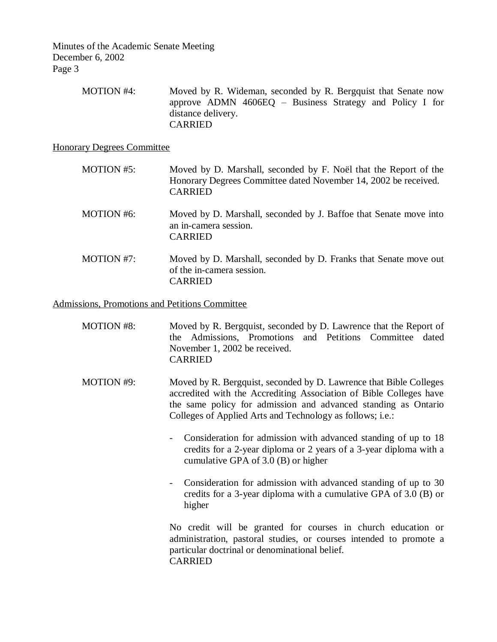> MOTION #4: Moved by R. Wideman, seconded by R. Bergquist that Senate now approve ADMN 4606EQ – Business Strategy and Policy I for distance delivery. CARRIED

Honorary Degrees Committee

- MOTION #5: Moved by D. Marshall, seconded by F. Noël that the Report of the Honorary Degrees Committee dated November 14, 2002 be received. CARRIED
- MOTION #6: Moved by D. Marshall, seconded by J. Baffoe that Senate move into an in-camera session. CARRIED
- MOTION #7: Moved by D. Marshall, seconded by D. Franks that Senate move out of the in-camera session. CARRIED

Admissions, Promotions and Petitions Committee

- MOTION #8: Moved by R. Bergquist, seconded by D. Lawrence that the Report of the Admissions, Promotions and Petitions Committee dated November 1, 2002 be received. CARRIED
- MOTION #9: Moved by R. Bergquist, seconded by D. Lawrence that Bible Colleges accredited with the Accrediting Association of Bible Colleges have the same policy for admission and advanced standing as Ontario Colleges of Applied Arts and Technology as follows; i.e.:
	- Consideration for admission with advanced standing of up to 18 credits for a 2-year diploma or 2 years of a 3-year diploma with a cumulative GPA of 3.0 (B) or higher
	- Consideration for admission with advanced standing of up to 30 credits for a 3-year diploma with a cumulative GPA of 3.0 (B) or higher

No credit will be granted for courses in church education or administration, pastoral studies, or courses intended to promote a particular doctrinal or denominational belief. CARRIED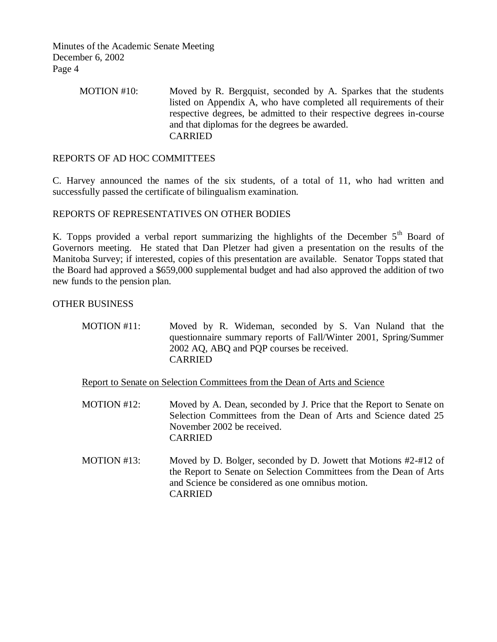# MOTION #10: Moved by R. Bergquist, seconded by A. Sparkes that the students listed on Appendix A, who have completed all requirements of their respective degrees, be admitted to their respective degrees in-course and that diplomas for the degrees be awarded. CARRIED

# REPORTS OF AD HOC COMMITTEES

C. Harvey announced the names of the six students, of a total of 11, who had written and successfully passed the certificate of bilingualism examination.

## REPORTS OF REPRESENTATIVES ON OTHER BODIES

K. Topps provided a verbal report summarizing the highlights of the December  $5<sup>th</sup>$  Board of Governors meeting. He stated that Dan Pletzer had given a presentation on the results of the Manitoba Survey; if interested, copies of this presentation are available. Senator Topps stated that the Board had approved a \$659,000 supplemental budget and had also approved the addition of two new funds to the pension plan.

## OTHER BUSINESS

| MOTION #11: | Moved by R. Wideman, seconded by S. Van Nuland that the          |  |  |  |  |
|-------------|------------------------------------------------------------------|--|--|--|--|
|             | questionnaire summary reports of Fall/Winter 2001, Spring/Summer |  |  |  |  |
|             | 2002 AQ, ABQ and PQP courses be received.                        |  |  |  |  |
|             | <b>CARRIED</b>                                                   |  |  |  |  |

Report to Senate on Selection Committees from the Dean of Arts and Science

- MOTION #12: Moved by A. Dean, seconded by J. Price that the Report to Senate on Selection Committees from the Dean of Arts and Science dated 25 November 2002 be received. CARRIED
- MOTION #13: Moved by D. Bolger, seconded by D. Jowett that Motions #2-#12 of the Report to Senate on Selection Committees from the Dean of Arts and Science be considered as one omnibus motion. CARRIED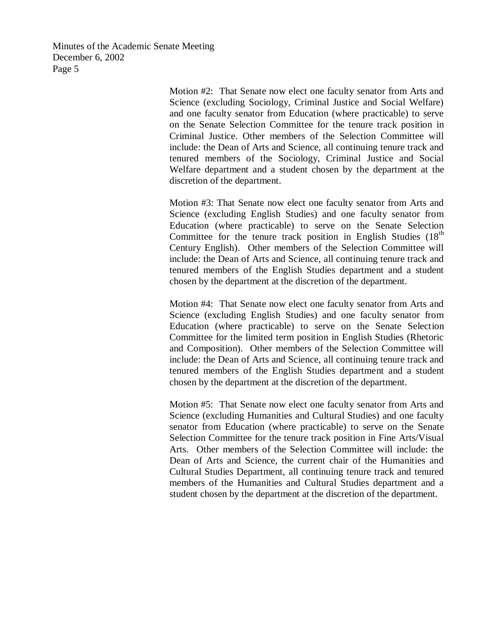> Motion #2: That Senate now elect one faculty senator from Arts and Science (excluding Sociology, Criminal Justice and Social Welfare) and one faculty senator from Education (where practicable) to serve on the Senate Selection Committee for the tenure track position in Criminal Justice. Other members of the Selection Committee will include: the Dean of Arts and Science, all continuing tenure track and tenured members of the Sociology, Criminal Justice and Social Welfare department and a student chosen by the department at the discretion of the department.

> Motion #3: That Senate now elect one faculty senator from Arts and Science (excluding English Studies) and one faculty senator from Education (where practicable) to serve on the Senate Selection Committee for the tenure track position in English Studies  $(18<sup>th</sup>$ Century English). Other members of the Selection Committee will include: the Dean of Arts and Science, all continuing tenure track and tenured members of the English Studies department and a student chosen by the department at the discretion of the department.

> Motion #4: That Senate now elect one faculty senator from Arts and Science (excluding English Studies) and one faculty senator from Education (where practicable) to serve on the Senate Selection Committee for the limited term position in English Studies (Rhetoric and Composition). Other members of the Selection Committee will include: the Dean of Arts and Science, all continuing tenure track and tenured members of the English Studies department and a student chosen by the department at the discretion of the department.

> Motion #5: That Senate now elect one faculty senator from Arts and Science (excluding Humanities and Cultural Studies) and one faculty senator from Education (where practicable) to serve on the Senate Selection Committee for the tenure track position in Fine Arts/Visual Arts. Other members of the Selection Committee will include: the Dean of Arts and Science, the current chair of the Humanities and Cultural Studies Department, all continuing tenure track and tenured members of the Humanities and Cultural Studies department and a student chosen by the department at the discretion of the department.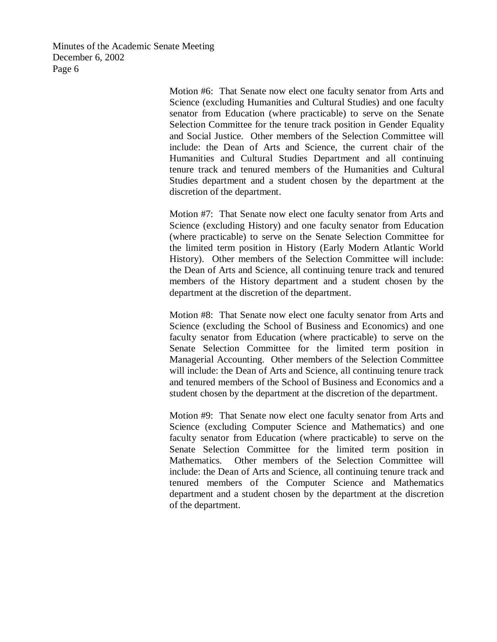> Motion #6: That Senate now elect one faculty senator from Arts and Science (excluding Humanities and Cultural Studies) and one faculty senator from Education (where practicable) to serve on the Senate Selection Committee for the tenure track position in Gender Equality and Social Justice. Other members of the Selection Committee will include: the Dean of Arts and Science, the current chair of the Humanities and Cultural Studies Department and all continuing tenure track and tenured members of the Humanities and Cultural Studies department and a student chosen by the department at the discretion of the department.

> Motion #7: That Senate now elect one faculty senator from Arts and Science (excluding History) and one faculty senator from Education (where practicable) to serve on the Senate Selection Committee for the limited term position in History (Early Modern Atlantic World History). Other members of the Selection Committee will include: the Dean of Arts and Science, all continuing tenure track and tenured members of the History department and a student chosen by the department at the discretion of the department.

> Motion #8: That Senate now elect one faculty senator from Arts and Science (excluding the School of Business and Economics) and one faculty senator from Education (where practicable) to serve on the Senate Selection Committee for the limited term position in Managerial Accounting. Other members of the Selection Committee will include: the Dean of Arts and Science, all continuing tenure track and tenured members of the School of Business and Economics and a student chosen by the department at the discretion of the department.

> Motion #9: That Senate now elect one faculty senator from Arts and Science (excluding Computer Science and Mathematics) and one faculty senator from Education (where practicable) to serve on the Senate Selection Committee for the limited term position in Mathematics. Other members of the Selection Committee will include: the Dean of Arts and Science, all continuing tenure track and tenured members of the Computer Science and Mathematics department and a student chosen by the department at the discretion of the department.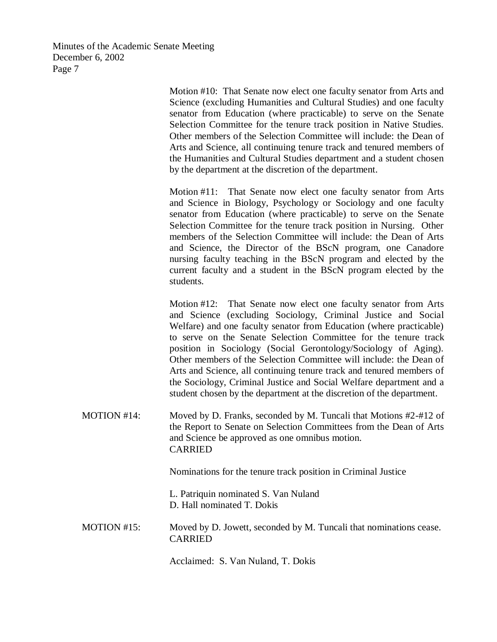> Motion #10: That Senate now elect one faculty senator from Arts and Science (excluding Humanities and Cultural Studies) and one faculty senator from Education (where practicable) to serve on the Senate Selection Committee for the tenure track position in Native Studies. Other members of the Selection Committee will include: the Dean of Arts and Science, all continuing tenure track and tenured members of the Humanities and Cultural Studies department and a student chosen by the department at the discretion of the department.

> Motion #11: That Senate now elect one faculty senator from Arts and Science in Biology, Psychology or Sociology and one faculty senator from Education (where practicable) to serve on the Senate Selection Committee for the tenure track position in Nursing. Other members of the Selection Committee will include: the Dean of Arts and Science, the Director of the BScN program, one Canadore nursing faculty teaching in the BScN program and elected by the current faculty and a student in the BScN program elected by the students.

> Motion #12: That Senate now elect one faculty senator from Arts and Science (excluding Sociology, Criminal Justice and Social Welfare) and one faculty senator from Education (where practicable) to serve on the Senate Selection Committee for the tenure track position in Sociology (Social Gerontology/Sociology of Aging). Other members of the Selection Committee will include: the Dean of Arts and Science, all continuing tenure track and tenured members of the Sociology, Criminal Justice and Social Welfare department and a student chosen by the department at the discretion of the department.

MOTION #14: Moved by D. Franks, seconded by M. Tuncali that Motions #2-#12 of the Report to Senate on Selection Committees from the Dean of Arts and Science be approved as one omnibus motion. CARRIED

Nominations for the tenure track position in Criminal Justice

L. Patriquin nominated S. Van Nuland D. Hall nominated T. Dokis

MOTION #15: Moved by D. Jowett, seconded by M. Tuncali that nominations cease. CARRIED

Acclaimed: S. Van Nuland, T. Dokis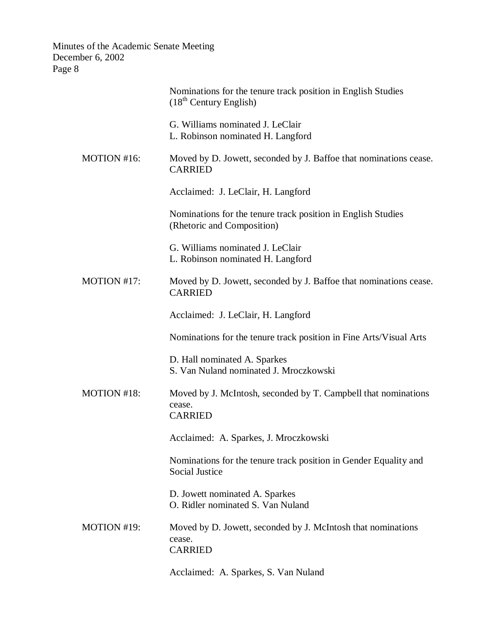|             | Nominations for the tenure track position in English Studies<br>(18 <sup>th</sup> Century English) |
|-------------|----------------------------------------------------------------------------------------------------|
|             | G. Williams nominated J. LeClair<br>L. Robinson nominated H. Langford                              |
| MOTION #16: | Moved by D. Jowett, seconded by J. Baffoe that nominations cease.<br><b>CARRIED</b>                |
|             | Acclaimed: J. LeClair, H. Langford                                                                 |
|             | Nominations for the tenure track position in English Studies<br>(Rhetoric and Composition)         |
|             | G. Williams nominated J. LeClair<br>L. Robinson nominated H. Langford                              |
| MOTION #17: | Moved by D. Jowett, seconded by J. Baffoe that nominations cease.<br><b>CARRIED</b>                |
|             | Acclaimed: J. LeClair, H. Langford                                                                 |
|             | Nominations for the tenure track position in Fine Arts/Visual Arts                                 |
|             | D. Hall nominated A. Sparkes<br>S. Van Nuland nominated J. Mroczkowski                             |
| MOTION #18: | Moved by J. McIntosh, seconded by T. Campbell that nominations<br>cease.<br><b>CARRIED</b>         |
|             | Acclaimed: A. Sparkes, J. Mroczkowski                                                              |
|             | Nominations for the tenure track position in Gender Equality and<br><b>Social Justice</b>          |
|             | D. Jowett nominated A. Sparkes<br>O. Ridler nominated S. Van Nuland                                |
| MOTION #19: | Moved by D. Jowett, seconded by J. McIntosh that nominations<br>cease.<br><b>CARRIED</b>           |
|             | Acclaimed: A. Sparkes, S. Van Nuland                                                               |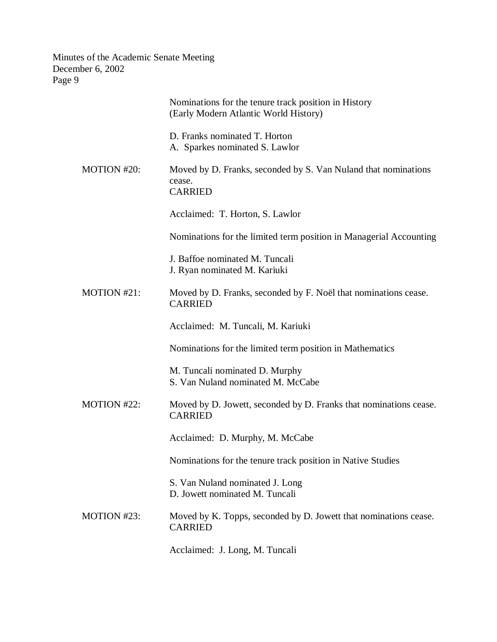|             | Nominations for the tenure track position in History<br>(Early Modern Atlantic World History) |
|-------------|-----------------------------------------------------------------------------------------------|
|             | D. Franks nominated T. Horton<br>A. Sparkes nominated S. Lawlor                               |
| MOTION #20: | Moved by D. Franks, seconded by S. Van Nuland that nominations<br>cease.<br><b>CARRIED</b>    |
|             | Acclaimed: T. Horton, S. Lawlor                                                               |
|             | Nominations for the limited term position in Managerial Accounting                            |
|             | J. Baffoe nominated M. Tuncali<br>J. Ryan nominated M. Kariuki                                |
| MOTION #21: | Moved by D. Franks, seconded by F. Noël that nominations cease.<br><b>CARRIED</b>             |
|             | Acclaimed: M. Tuncali, M. Kariuki                                                             |
|             | Nominations for the limited term position in Mathematics                                      |
|             | M. Tuncali nominated D. Murphy<br>S. Van Nuland nominated M. McCabe                           |
| MOTION #22: | Moved by D. Jowett, seconded by D. Franks that nominations cease.<br><b>CARRIED</b>           |
|             | Acclaimed: D. Murphy, M. McCabe                                                               |
|             | Nominations for the tenure track position in Native Studies                                   |
|             | S. Van Nuland nominated J. Long<br>D. Jowett nominated M. Tuncali                             |
| MOTION #23: | Moved by K. Topps, seconded by D. Jowett that nominations cease.<br><b>CARRIED</b>            |
|             | Acclaimed: J. Long, M. Tuncali                                                                |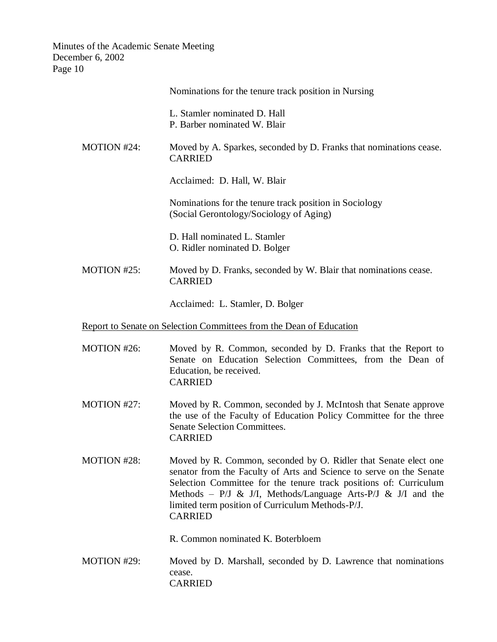| ັ⊥∪                |                                                                                                                                                                                                                                                                                                                                 |
|--------------------|---------------------------------------------------------------------------------------------------------------------------------------------------------------------------------------------------------------------------------------------------------------------------------------------------------------------------------|
|                    | Nominations for the tenure track position in Nursing                                                                                                                                                                                                                                                                            |
|                    | L. Stamler nominated D. Hall<br>P. Barber nominated W. Blair                                                                                                                                                                                                                                                                    |
| <b>MOTION #24:</b> | Moved by A. Sparkes, seconded by D. Franks that nominations cease.<br><b>CARRIED</b>                                                                                                                                                                                                                                            |
|                    | Acclaimed: D. Hall, W. Blair                                                                                                                                                                                                                                                                                                    |
|                    | Nominations for the tenure track position in Sociology<br>(Social Gerontology/Sociology of Aging)                                                                                                                                                                                                                               |
|                    | D. Hall nominated L. Stamler<br>O. Ridler nominated D. Bolger                                                                                                                                                                                                                                                                   |
| MOTION #25:        | Moved by D. Franks, seconded by W. Blair that nominations cease.<br><b>CARRIED</b>                                                                                                                                                                                                                                              |
|                    | Acclaimed: L. Stamler, D. Bolger                                                                                                                                                                                                                                                                                                |
|                    | Report to Senate on Selection Committees from the Dean of Education                                                                                                                                                                                                                                                             |
| MOTION #26:        | Moved by R. Common, seconded by D. Franks that the Report to<br>Senate on Education Selection Committees, from the Dean of<br>Education, be received.<br><b>CARRIED</b>                                                                                                                                                         |
| MOTION #27:        | Moved by R. Common, seconded by J. McIntosh that Senate approve<br>the use of the Faculty of Education Policy Committee for the three<br><b>Senate Selection Committees.</b><br><b>CARRIED</b>                                                                                                                                  |
| MOTION #28:        | Moved by R. Common, seconded by O. Ridler that Senate elect one<br>senator from the Faculty of Arts and Science to serve on the Senate<br>Selection Committee for the tenure track positions of: Curriculum<br>Methods – P/J & J/I, Methods/Language Arts-P/J & J/I and the<br>limited term position of Curriculum Methods-P/J. |

R. Common nominated K. Boterbloem

CARRIED

MOTION #29: Moved by D. Marshall, seconded by D. Lawrence that nominations cease. CARRIED